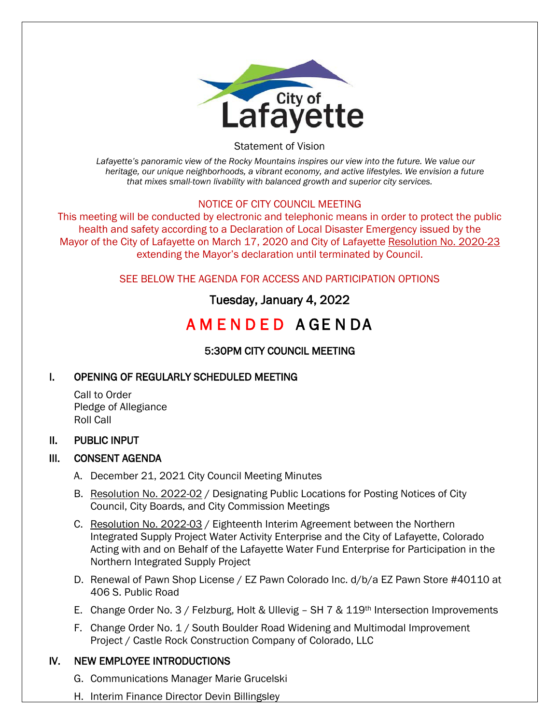

Statement of Vision

*Lafayette's panoramic view of the Rocky Mountains inspires our view into the future. We value our heritage, our unique neighborhoods, a vibrant economy, and active lifestyles. We envision a future that mixes small-town livability with balanced growth and superior city services.*

### NOTICE OF CITY COUNCIL MEETING

This meeting will be conducted by electronic and telephonic means in order to protect the public health and safety according to a Declaration of Local Disaster Emergency issued by the Mayor of the City of Lafayette on March 17, 2020 and City of Lafayette Resolution No. 2020-23 extending the Mayor's declaration until terminated by Council.

SEE BELOW THE AGENDA FOR ACCESS AND PARTICIPATION OPTIONS

# Tuesday, January 4, 2022

# A M E N D E D A GE N DA

# 5:30PM CITY COUNCIL MEETING

# I. OPENING OF REGULARLY SCHEDULED MEETING

Call to Order Pledge of Allegiance Roll Call

#### II. PUBLIC INPUT

#### III. CONSENT AGENDA

- A. December 21, 2021 City Council Meeting Minutes
- B. Resolution No. 2022-02 / Designating Public Locations for Posting Notices of City Council, City Boards, and City Commission Meetings
- C. Resolution No. 2022-03 / Eighteenth Interim Agreement between the Northern Integrated Supply Project Water Activity Enterprise and the City of Lafayette, Colorado Acting with and on Behalf of the Lafayette Water Fund Enterprise for Participation in the Northern Integrated Supply Project
- D. Renewal of Pawn Shop License / EZ Pawn Colorado Inc. d/b/a EZ Pawn Store #40110 at 406 S. Public Road
- E. Change Order No. 3 / Felzburg, Holt & Ullevig SH 7 & 119th Intersection Improvements
- F. Change Order No. 1 / South Boulder Road Widening and Multimodal Improvement Project / Castle Rock Construction Company of Colorado, LLC

#### IV. NEW EMPLOYEE INTRODUCTIONS

- G. Communications Manager Marie Grucelski
- H. Interim Finance Director Devin Billingsley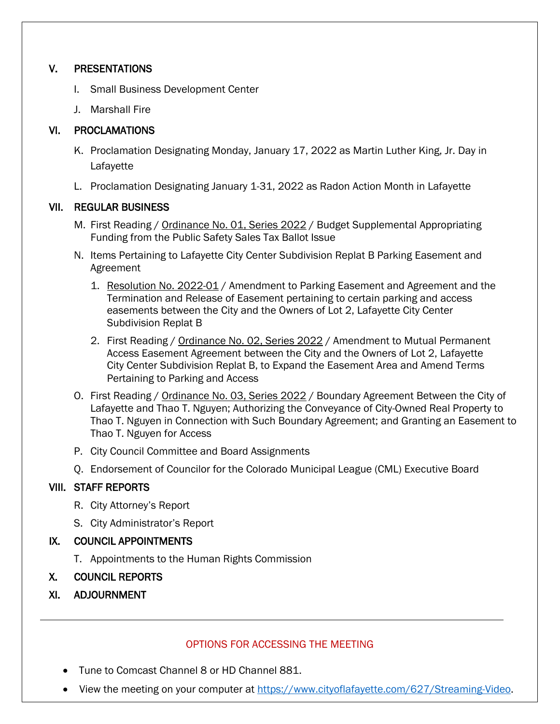### V. PRESENTATIONS

- I. Small Business Development Center
- J. Marshall Fire

### VI. PROCLAMATIONS

- K. Proclamation Designating Monday, January 17, 2022 as Martin Luther King, Jr. Day in Lafayette
- L. Proclamation Designating January 1-31, 2022 as Radon Action Month in Lafayette

### VII. REGULAR BUSINESS

- M. First Reading / Ordinance No. 01, Series 2022 / Budget Supplemental Appropriating Funding from the Public Safety Sales Tax Ballot Issue
- N. Items Pertaining to Lafayette City Center Subdivision Replat B Parking Easement and Agreement
	- 1. Resolution No. 2022-01 / Amendment to Parking Easement and Agreement and the Termination and Release of Easement pertaining to certain parking and access easements between the City and the Owners of Lot 2, Lafayette City Center Subdivision Replat B
	- 2. First Reading / Ordinance No. 02, Series 2022 / Amendment to Mutual Permanent Access Easement Agreement between the City and the Owners of Lot 2, Lafayette City Center Subdivision Replat B, to Expand the Easement Area and Amend Terms Pertaining to Parking and Access
- O. First Reading / Ordinance No. 03, Series 2022 / Boundary Agreement Between the City of Lafayette and Thao T. Nguyen; Authorizing the Conveyance of City-Owned Real Property to Thao T. Nguyen in Connection with Such Boundary Agreement; and Granting an Easement to Thao T. Nguyen for Access
- P. City Council Committee and Board Assignments
- Q. Endorsement of Councilor for the Colorado Municipal League (CML) Executive Board

# VIII. STAFF REPORTS

- R. City Attorney's Report
- S. City Administrator's Report

# IX. COUNCIL APPOINTMENTS

- T. Appointments to the Human Rights Commission
- X. COUNCIL REPORTS
- XI. ADJOURNMENT

#### OPTIONS FOR ACCESSING THE MEETING

- Tune to Comcast Channel 8 or HD Channel 881.
- View the meeting on your computer at [https://www.cityoflafayette.com/627/Streaming-Video.](https://www.cityoflafayette.com/627/Streaming-Video)